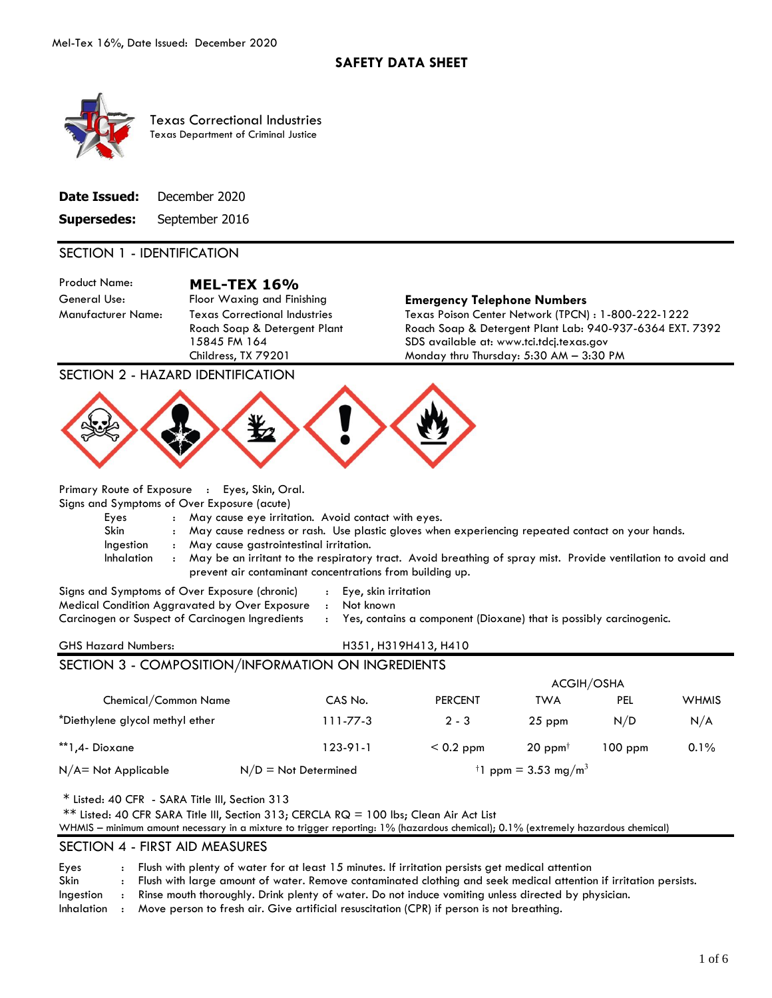

Texas Correctional Industries Texas Department of Criminal Justice

| <b>Date Issued:</b> December 2020 |
|-----------------------------------|
| <b>Supersedes:</b> September 2016 |

### SECTION 1 - IDENTIFICATION

Product Name: **MEL-TEX 16%** 

Manufacturer Name: Texas Correctional Industries Roach Soap & Detergent Plant 15845 FM 164 Childress, TX 79201

#### General Use: Floor Waxing and Finishing **Emergency Telephone Numbers**

Texas Poison Center Network (TPCN) : 1-800-222-1222 Roach Soap & Detergent Plant Lab: 940-937-6364 EXT. 7392 SDS available at: www.tci.tdcj.texas.gov Monday thru Thursday: 5:30 AM – 3:30 PM

SECTION 2 - HAZARD IDENTIFICATION



Primary Route of Exposure : Eyes, Skin, Oral.

Signs and Symptoms of Over Exposure (acute)

- Eyes : May cause eye irritation. Avoid contact with eyes.
- Skin : May cause redness or rash. Use plastic gloves when experiencing repeated contact on your hands.
- Ingestion : May cause gastrointestinal irritation.
- Inhalation : May be an irritant to the respiratory tract. Avoid breathing of spray mist. Provide ventilation to avoid and prevent air contaminant concentrations from building up.

Signs and Symptoms of Over Exposure (chronic) : Eye, skin irritation Medical Condition Aggravated by Over Exposure : Not known

- 
- 

Carcinogen or Suspect of Carcinogen Ingredients : Yes, contains a component (Dioxane) that is possibly carcinogenic.

## GHS Hazard Numbers: H351, H319H413, H410 SECTION 3 - COMPOSITION/INFORMATION ON INGREDIENTS

|                                 |                        | <b>ACGIH/OSHA</b> |                                             |            |              |
|---------------------------------|------------------------|-------------------|---------------------------------------------|------------|--------------|
| Chemical/Common Name            | CAS No.                | <b>PERCENT</b>    | TWA                                         | <b>PEL</b> | <b>WHMIS</b> |
| *Diethylene glycol methyl ether | $111 - 77 - 3$         | $2 - 3$           | $25$ ppm                                    | N/D        | N/A          |
| **1,4-Dioxane                   | 123-91-1               | $< 0.2$ ppm       | $20$ ppm <sup><math>\dagger</math></sup>    | $100$ ppm  | 0.1%         |
| $N/A = Not Applicable$          | $N/D = Not$ Determined |                   | <sup>†</sup> 1 ppm = 3.53 mg/m <sup>3</sup> |            |              |

\* Listed: 40 CFR - SARA Title III, Section 313

\*\* Listed: 40 CFR SARA Title III, Section 313; CERCLA RQ = 100 lbs; Clean Air Act List

WHMIS – minimum amount necessary in a mixture to trigger reporting: 1% (hazardous chemical); 0.1% (extremely hazardous chemical)

#### SECTION 4 - FIRST AID MEASURES

Eyes : Flush with plenty of water for at least 15 minutes. If irritation persists get medical attention

Skin : Flush with large amount of water. Remove contaminated clothing and seek medical attention if irritation persists.

Ingestion : Rinse mouth thoroughly. Drink plenty of water. Do not induce vomiting unless directed by physician.

Inhalation : Move person to fresh air. Give artificial resuscitation (CPR) if person is not breathing.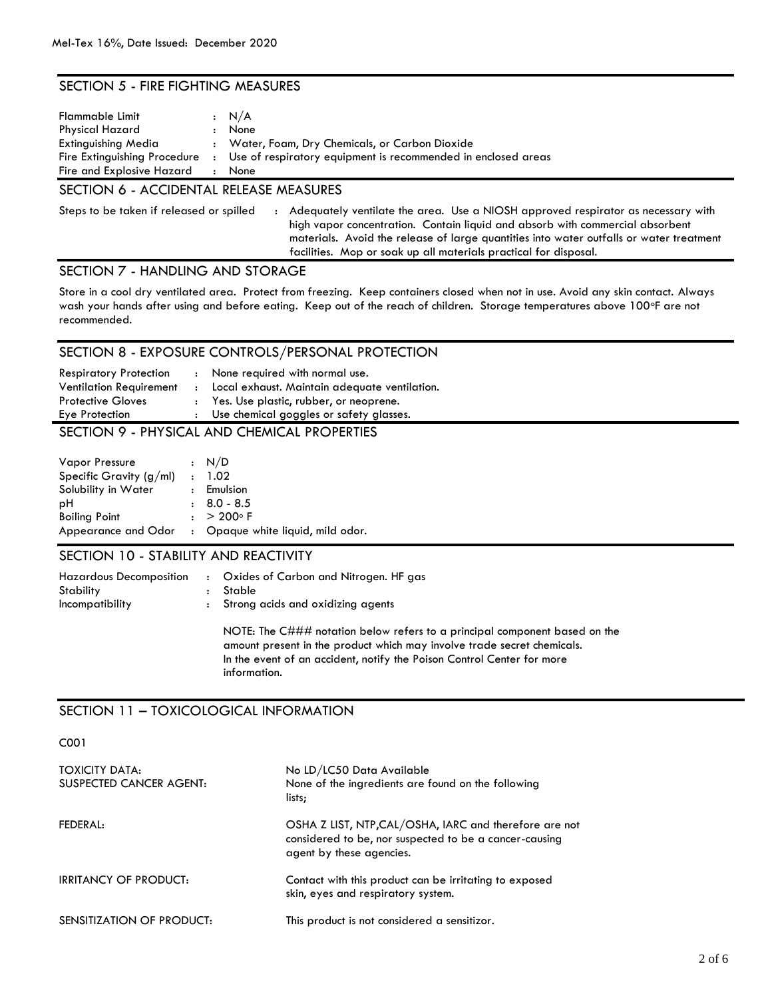## SECTION 5 - FIRE FIGHTING MEASURES

| Flammable Limit<br><b>Physical Hazard</b> |         | : N/A<br>None                                                 |
|-------------------------------------------|---------|---------------------------------------------------------------|
| Extinguishing Media                       |         | : Water, Foam, Dry Chemicals, or Carbon Dioxide               |
| Fire Extinguishing Procedure              | $\cdot$ | Use of respiratory equipment is recommended in enclosed areas |
| Fire and Explosive Hazard                 |         | None                                                          |

## SECTION 6 - ACCIDENTAL RELEASE MEASURES

Steps to be taken if released or spilled : Adequately ventilate the area. Use a NIOSH approved respirator as necessary with high vapor concentration. Contain liquid and absorb with commercial absorbent materials. Avoid the release of large quantities into water outfalls or water treatment facilities. Mop or soak up all materials practical for disposal.

## SECTION 7 - HANDLING AND STORAGE

Store in a cool dry ventilated area. Protect from freezing. Keep containers closed when not in use. Avoid any skin contact. Always wash your hands after using and before eating. Keep out of the reach of children. Storage temperatures above 100°F are not recommended.

### SECTION 8 - EXPOSURE CONTROLS/PERSONAL PROTECTION

| <b>Respiratory Protection</b>       |  | : None required with normal use.                |
|-------------------------------------|--|-------------------------------------------------|
| <b>Ventilation Requirement</b>      |  | : Local exhaust. Maintain adequate ventilation. |
| <b>Protective Gloves</b>            |  | : Yes. Use plastic, rubber, or neoprene.        |
| Eye Protection                      |  | : Use chemical goggles or safety glasses.       |
| $C$ $C$ $T$ $C$ $L$ $R$ $R$ $R$ $R$ |  | <b>DUVCICAL ANID CUEALCAL DRODEDTIFC</b>        |

#### SECTION 9 - PHYSICAL AND CHEMICAL PROPERTIES

| <b>Vapor Pressure</b>     |              | $\cdot$ N/D                       |
|---------------------------|--------------|-----------------------------------|
| Specific Gravity $(g/ml)$ | $\mathbf{r}$ | 1.02                              |
| Solubility in Water       |              | $:$ Emulsion                      |
| рH                        |              | $\pm 8.0 - 8.5$                   |
| <b>Boiling Point</b>      |              | $: > 200^{\circ} F$               |
| Appearance and Odor       |              | : Opaque white liquid, mild odor. |

#### SECTION 10 - STABILITY AND REACTIVITY

| <b>Hazardous Decomposition</b>       | $\mathbf{r}$ | Oxides of Carbon and Nitrogen. HF gas |
|--------------------------------------|--------------|---------------------------------------|
| Stability                            |              | : Stable                              |
| <i><u><b>Incompatibility</b></u></i> | $\mathbf{r}$ | Strong acids and oxidizing agents     |

NOTE: The C### notation below refers to a principal component based on the amount present in the product which may involve trade secret chemicals. In the event of an accident, notify the Poison Control Center for more information.

## SECTION 11 – TOXICOLOGICAL INFORMATION

C001

| <b>TOXICITY DATA:</b><br>SUSPECTED CANCER AGENT: | No LD/LC50 Data Available<br>None of the ingredients are found on the following<br>lists;                                                    |
|--------------------------------------------------|----------------------------------------------------------------------------------------------------------------------------------------------|
| FEDERAL:                                         | OSHA Z LIST, NTP, CAL/OSHA, IARC and therefore are not<br>considered to be, nor suspected to be a cancer-causing<br>agent by these agencies. |
| <b>IRRITANCY OF PRODUCT:</b>                     | Contact with this product can be irritating to exposed<br>skin, eyes and respiratory system.                                                 |
| SENSITIZATION OF PRODUCT:                        | This product is not considered a sensitizor.                                                                                                 |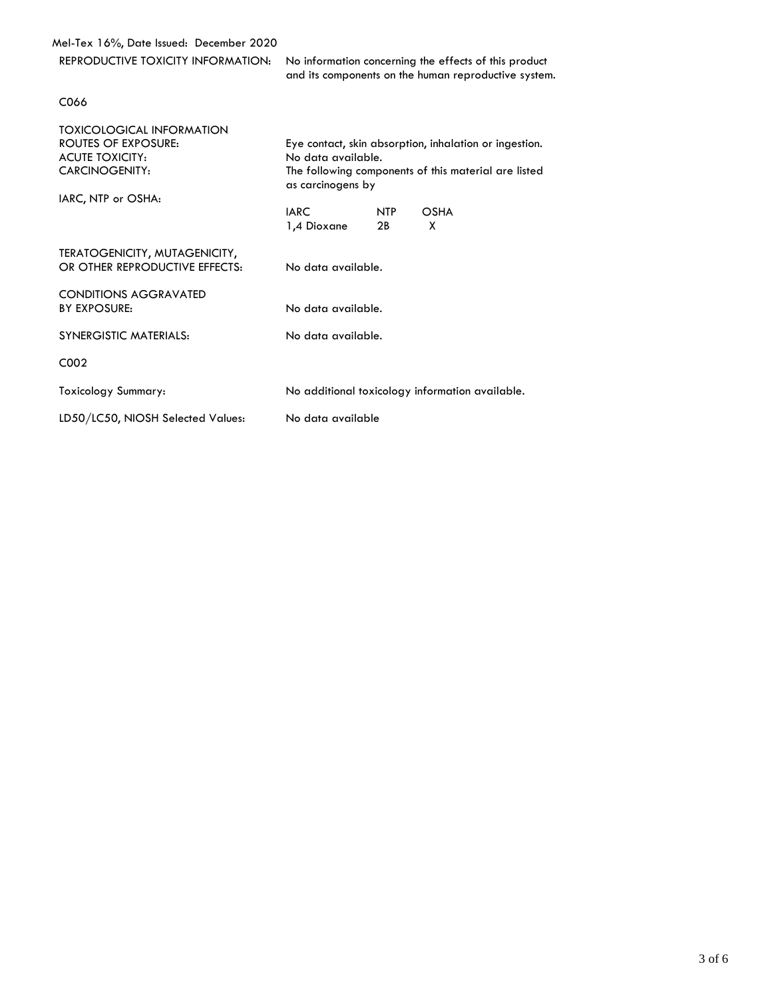Mel-Tex 16%, Date Issued: December 2020

REPRODUCTIVE TOXICITY INFORMATION: No information concerning the effects of this product and its components on the human reproductive system.

#### C066

| <b>TOXICOLOGICAL INFORMATION</b><br><b>ROUTES OF EXPOSURE:</b><br><b>ACUTE TOXICITY:</b><br><b>CARCINOGENITY:</b><br>IARC, NTP or OSHA: | Eye contact, skin absorption, inhalation or ingestion.<br>No data available.<br>The following components of this material are listed<br>as carcinogens by |           |                                                 |  |
|-----------------------------------------------------------------------------------------------------------------------------------------|-----------------------------------------------------------------------------------------------------------------------------------------------------------|-----------|-------------------------------------------------|--|
|                                                                                                                                         | <b>IARC</b><br>1,4 Dioxane                                                                                                                                | NTP<br>2B | <b>OSHA</b><br>X                                |  |
| TERATOGENICITY, MUTAGENICITY,<br>OR OTHER REPRODUCTIVE EFFECTS:                                                                         | No data available.                                                                                                                                        |           |                                                 |  |
| <b>CONDITIONS AGGRAVATED</b><br><b>BY EXPOSURE:</b>                                                                                     | No data available.                                                                                                                                        |           |                                                 |  |
| <b>SYNERGISTIC MATERIALS:</b>                                                                                                           | No data available.                                                                                                                                        |           |                                                 |  |
| C <sub>0</sub> 02                                                                                                                       |                                                                                                                                                           |           |                                                 |  |
| Toxicology Summary:                                                                                                                     |                                                                                                                                                           |           | No additional toxicology information available. |  |
| LD50/LC50, NIOSH Selected Values:                                                                                                       | No data available                                                                                                                                         |           |                                                 |  |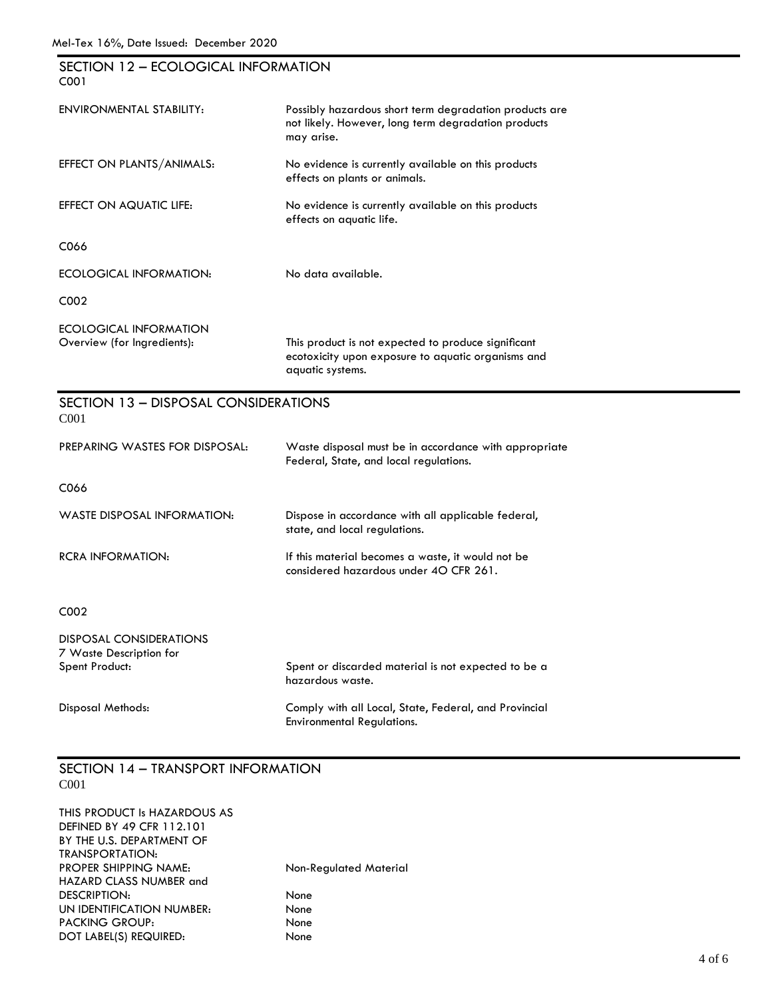| SECTION 12 - ECOLOGICAL INFORMATION<br>C001                          |                                                                                                                               |
|----------------------------------------------------------------------|-------------------------------------------------------------------------------------------------------------------------------|
| ENVIRONMENTAL STABILITY:                                             | Possibly hazardous short term degradation products are<br>not likely. However, long term degradation products<br>may arise.   |
| EFFECT ON PLANTS/ANIMALS:                                            | No evidence is currently available on this products<br>effects on plants or animals.                                          |
| EFFECT ON AQUATIC LIFE:                                              | No evidence is currently available on this products<br>effects on aquatic life.                                               |
| C066                                                                 |                                                                                                                               |
| ECOLOGICAL INFORMATION:                                              | No data available.                                                                                                            |
| C002                                                                 |                                                                                                                               |
| ECOLOGICAL INFORMATION<br>Overview (for Ingredients):                | This product is not expected to produce significant<br>ecotoxicity upon exposure to aquatic organisms and<br>aquatic systems. |
| SECTION 13 - DISPOSAL CONSIDERATIONS<br>C <sub>001</sub>             |                                                                                                                               |
| PREPARING WASTES FOR DISPOSAL:                                       | Waste disposal must be in accordance with appropriate<br>Federal, State, and local regulations.                               |
| C066                                                                 |                                                                                                                               |
| WASTE DISPOSAL INFORMATION:                                          | Dispose in accordance with all applicable federal,<br>state, and local regulations.                                           |
| <b>RCRA INFORMATION:</b>                                             | If this material becomes a waste, it would not be<br>considered hazardous under 40 CFR 261.                                   |
| C002                                                                 |                                                                                                                               |
| DISPOSAL CONSIDERATIONS<br>7 Waste Description for<br>Spent Product: | Spent or discarded material is not expected to be a<br>hazardous waste.                                                       |
| Disposal Methods:                                                    | Comply with all Local, State, Federal, and Provincial<br><b>Environmental Regulations.</b>                                    |

### SECTION 14 – TRANSPORT INFORMATION C001

| THIS PRODUCT Is HAZARDOUS AS<br><b>DEFINED BY 49 CFR 112.101</b> |                        |
|------------------------------------------------------------------|------------------------|
| BY THE U.S. DEPARTMENT OF                                        |                        |
| TRANSPORTATION:                                                  |                        |
| <b>PROPER SHIPPING NAME:</b>                                     | Non-Regulated Material |
| HAZARD CLASS NUMBER and                                          |                        |
| DESCRIPTION:                                                     | None                   |
| UN IDENTIFICATION NUMBER:                                        | None                   |
| <b>PACKING GROUP:</b>                                            | None                   |
| DOT LABEL(S) REQUIRED:                                           | None                   |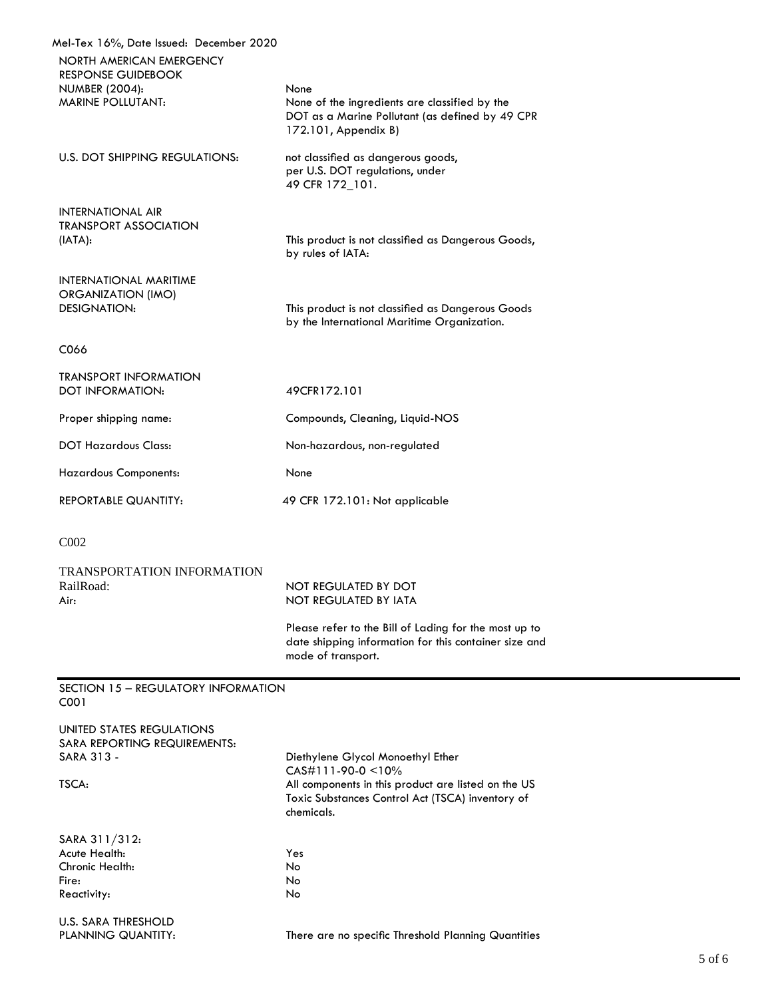| Mel-Tex 16%, Date Issued: December 2020<br>NORTH AMERICAN EMERGENCY<br><b>RESPONSE GUIDEBOOK</b><br><b>NUMBER (2004):</b><br><b>MARINE POLLUTANT:</b> | None<br>None of the ingredients are classified by the<br>DOT as a Marine Pollutant (as defined by 49 CPR<br>172.101, Appendix B)                                                   |
|-------------------------------------------------------------------------------------------------------------------------------------------------------|------------------------------------------------------------------------------------------------------------------------------------------------------------------------------------|
| U.S. DOT SHIPPING REGULATIONS:                                                                                                                        | not classified as dangerous goods,<br>per U.S. DOT regulations, under<br>49 CFR 172_101.                                                                                           |
| INTERNATIONAL AIR<br><b>TRANSPORT ASSOCIATION</b><br>(IATA):                                                                                          | This product is not classified as Dangerous Goods,<br>by rules of IATA:                                                                                                            |
| <b>INTERNATIONAL MARITIME</b><br><b>ORGANIZATION (IMO)</b><br><b>DESIGNATION:</b>                                                                     | This product is not classified as Dangerous Goods<br>by the International Maritime Organization.                                                                                   |
| C066                                                                                                                                                  |                                                                                                                                                                                    |
| <b>TRANSPORT INFORMATION</b><br><b>DOT INFORMATION:</b>                                                                                               | 49CFR172.101                                                                                                                                                                       |
| Proper shipping name:                                                                                                                                 | Compounds, Cleaning, Liquid-NOS                                                                                                                                                    |
| <b>DOT Hazardous Class:</b>                                                                                                                           | Non-hazardous, non-regulated                                                                                                                                                       |
| <b>Hazardous Components:</b>                                                                                                                          | None                                                                                                                                                                               |
| <b>REPORTABLE QUANTITY:</b>                                                                                                                           | 49 CFR 172.101: Not applicable                                                                                                                                                     |
| C <sub>002</sub>                                                                                                                                      |                                                                                                                                                                                    |
| <b>TRANSPORTATION INFORMATION</b><br>RailRoad:<br>Air:                                                                                                | NOT REGULATED BY DOT<br><b>NOT REGULATED BY IATA</b>                                                                                                                               |
|                                                                                                                                                       | Please refer to the Bill of Lading for the most up to<br>date shipping information for this container size and<br>mode of transport.                                               |
| SECTION 15 - REGULATORY INFORMATION<br>C001                                                                                                           |                                                                                                                                                                                    |
|                                                                                                                                                       |                                                                                                                                                                                    |
| UNITED STATES REGULATIONS<br>SARA REPORTING REQUIREMENTS:<br>SARA 313 -<br>TSCA:                                                                      | Diethylene Glycol Monoethyl Ether<br>$CAS#111-90-0 < 10%$<br>All components in this product are listed on the US<br>Toxic Substances Control Act (TSCA) inventory of<br>chemicals. |
| SARA 311/312:<br>Acute Health:<br>Chronic Health:<br>Fire:<br>Reactivity:                                                                             | Yes<br><b>No</b><br>No<br>No                                                                                                                                                       |